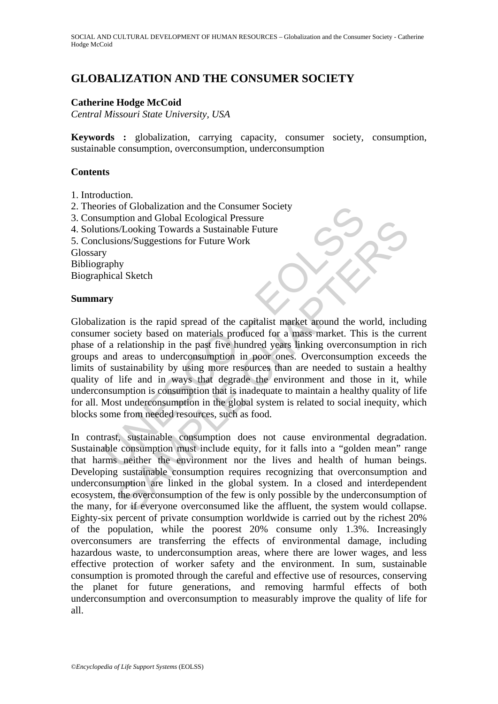# **GLOBALIZATION AND THE CONSUMER SOCIETY**

## **Catherine Hodge McCoid**

*Central Missouri State University, USA* 

**Keywords :** globalization, carrying capacity, consumer society, consumption, sustainable consumption, overconsumption, underconsumption

### **Contents**

- 1. Introduction.
- 2. Theories of Globalization and the Consumer Society
- 3. Consumption and Global Ecological Pressure
- 4. Solutions/Looking Towards a Sustainable Future
- 5. Conclusions/Suggestions for Future Work

Glossary

Bibliography

Biographical Sketch

## **Summary**

res of Globalization and the Consumer Society<br>
unons/Looking Towards a Sustainable Future<br>
lusions/Suggestions for Future Work<br>
Unsions/Suggestions for Future Work<br>
y<br>
y<br>
araphy<br>
y<br>
araphy<br>
y<br>
araphy<br>
y<br>
araphy<br>
y<br>
araphy<br> Monday and or colour actomographical reassure<br>
s/Looking Towards a Sustainable Future<br>
ions/Suggestions for Future Work<br>
hy<br>
al Sketch<br>
hy<br>
al Sketch<br>
by<br>
al Sketch<br>
by<br>
al Sketch<br>
by<br>
al Sketch<br>
by<br>
al Sketch<br>
by<br>
al Sket Globalization is the rapid spread of the capitalist market around the world, including consumer society based on materials produced for a mass market. This is the current phase of a relationship in the past five hundred years linking overconsumption in rich groups and areas to underconsumption in poor ones. Overconsumption exceeds the limits of sustainability by using more resources than are needed to sustain a healthy quality of life and in ways that degrade the environment and those in it, while underconsumption is consumption that is inadequate to maintain a healthy quality of life for all. Most underconsumption in the global system is related to social inequity, which blocks some from needed resources, such as food.

In contrast, sustainable consumption does not cause environmental degradation. Sustainable consumption must include equity, for it falls into a "golden mean" range that harms neither the environment nor the lives and health of human beings. Developing sustainable consumption requires recognizing that overconsumption and underconsumption are linked in the global system. In a closed and interdependent ecosystem, the overconsumption of the few is only possible by the underconsumption of the many, for if everyone overconsumed like the affluent, the system would collapse. Eighty-six percent of private consumption worldwide is carried out by the richest 20% of the population, while the poorest 20% consume only 1.3%. Increasingly overconsumers are transferring the effects of environmental damage, including hazardous waste, to underconsumption areas, where there are lower wages, and less effective protection of worker safety and the environment. In sum, sustainable consumption is promoted through the careful and effective use of resources, conserving the planet for future generations, and removing harmful effects of both underconsumption and overconsumption to measurably improve the quality of life for all.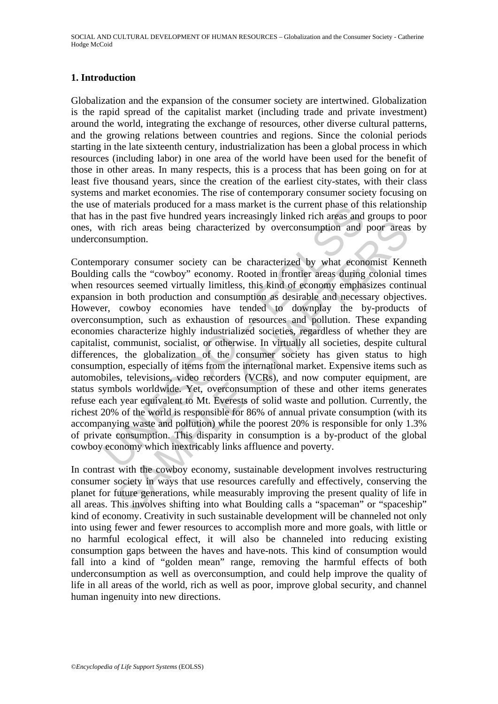## **1. Introduction**

Globalization and the expansion of the consumer society are intertwined. Globalization is the rapid spread of the capitalist market (including trade and private investment) around the world, integrating the exchange of resources, other diverse cultural patterns, and the growing relations between countries and regions. Since the colonial periods starting in the late sixteenth century, industrialization has been a global process in which resources (including labor) in one area of the world have been used for the benefit of those in other areas. In many respects, this is a process that has been going on for at least five thousand years, since the creation of the earliest city-states, with their class systems and market economies. The rise of contemporary consumer society focusing on the use of materials produced for a mass market is the current phase of this relationship that has in the past five hundred years increasingly linked rich areas and groups to poor ones, with rich areas being characterized by overconsumption and poor areas by underconsumption.

of materials produced for a mass market is the current phase of the part in the past five hundred years increasingly linked rich areas and in the past five hundred years increasingly linked rich areas and infinition.<br>
pror are vectors of the measure of the power state and growth the cowboy state in the measurementation. This are some of the "cowboy" economy. Rooted in frontier areas during colonial tirres seemed virtually limitless, this kin Contemporary consumer society can be characterized by what economist Kenneth Boulding calls the "cowboy" economy. Rooted in frontier areas during colonial times when resources seemed virtually limitless, this kind of economy emphasizes continual expansion in both production and consumption as desirable and necessary objectives. However, cowboy economies have tended to downplay the by-products of overconsumption, such as exhaustion of resources and pollution. These expanding economies characterize highly industrialized societies, regardless of whether they are capitalist, communist, socialist, or otherwise. In virtually all societies, despite cultural differences, the globalization of the consumer society has given status to high consumption, especially of items from the international market. Expensive items such as automobiles, televisions, video recorders (VCRs), and now computer equipment, are status symbols worldwide. Yet, overconsumption of these and other items generates refuse each year equivalent to Mt. Everests of solid waste and pollution. Currently, the richest 20% of the world is responsible for 86% of annual private consumption (with its accompanying waste and pollution) while the poorest 20% is responsible for only 1.3% of private consumption. This disparity in consumption is a by-product of the global cowboy economy which inextricably links affluence and poverty.

In contrast with the cowboy economy, sustainable development involves restructuring consumer society in ways that use resources carefully and effectively, conserving the planet for future generations, while measurably improving the present quality of life in all areas. This involves shifting into what Boulding calls a "spaceman" or "spaceship" kind of economy. Creativity in such sustainable development will be channeled not only into using fewer and fewer resources to accomplish more and more goals, with little or no harmful ecological effect, it will also be channeled into reducing existing consumption gaps between the haves and have-nots. This kind of consumption would fall into a kind of "golden mean" range, removing the harmful effects of both underconsumption as well as overconsumption, and could help improve the quality of life in all areas of the world, rich as well as poor, improve global security, and channel human ingenuity into new directions.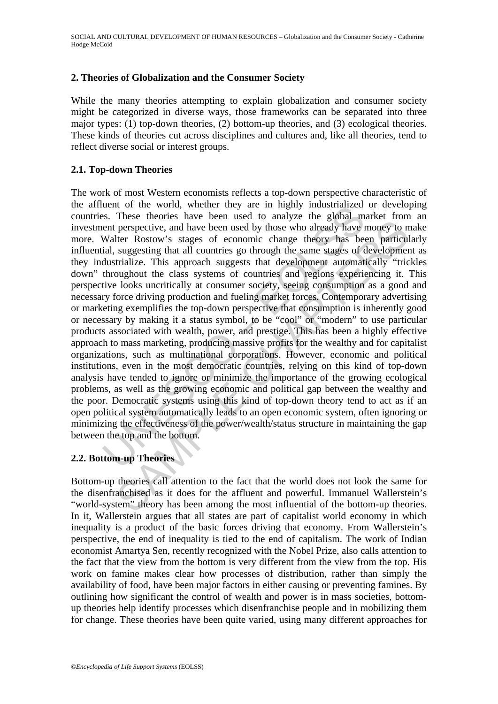### **2. Theories of Globalization and the Consumer Society**

While the many theories attempting to explain globalization and consumer society might be categorized in diverse ways, those frameworks can be separated into three major types: (1) top-down theories, (2) bottom-up theories, and (3) ecological theories. These kinds of theories cut across disciplines and cultures and, like all theories, tend to reflect diverse social or interest groups.

#### **2.1. Top-down Theories**

uent of the world, whether they are in figury industrianced<br>is. These theories have been used to analyze the global ment perspective, and have been used to analyze the global ment perspective, and have been used by those w respective, and have been used by dinegal by the prespective, and have been used by those who already have money to netrical the respective, and have been used by those who already have money to netrical suggests that all The work of most Western economists reflects a top-down perspective characteristic of the affluent of the world, whether they are in highly industrialized or developing countries. These theories have been used to analyze the global market from an investment perspective, and have been used by those who already have money to make more. Walter Rostow's stages of economic change theory has been particularly influential, suggesting that all countries go through the same stages of development as they industrialize. This approach suggests that development automatically "trickles down" throughout the class systems of countries and regions experiencing it. This perspective looks uncritically at consumer society, seeing consumption as a good and necessary force driving production and fueling market forces. Contemporary advertising or marketing exemplifies the top-down perspective that consumption is inherently good or necessary by making it a status symbol, to be "cool" or "modern" to use particular products associated with wealth, power, and prestige. This has been a highly effective approach to mass marketing, producing massive profits for the wealthy and for capitalist organizations, such as multinational corporations. However, economic and political institutions, even in the most democratic countries, relying on this kind of top-down analysis have tended to ignore or minimize the importance of the growing ecological problems, as well as the growing economic and political gap between the wealthy and the poor. Democratic systems using this kind of top-down theory tend to act as if an open political system automatically leads to an open economic system, often ignoring or minimizing the effectiveness of the power/wealth/status structure in maintaining the gap between the top and the bottom.

#### **2.2. Bottom-up Theories**

Bottom-up theories call attention to the fact that the world does not look the same for the disenfranchised as it does for the affluent and powerful. Immanuel Wallerstein's "world-system" theory has been among the most influential of the bottom-up theories. In it, Wallerstein argues that all states are part of capitalist world economy in which inequality is a product of the basic forces driving that economy. From Wallerstein's perspective, the end of inequality is tied to the end of capitalism. The work of Indian economist Amartya Sen, recently recognized with the Nobel Prize, also calls attention to the fact that the view from the bottom is very different from the view from the top. His work on famine makes clear how processes of distribution, rather than simply the availability of food, have been major factors in either causing or preventing famines. By outlining how significant the control of wealth and power is in mass societies, bottomup theories help identify processes which disenfranchise people and in mobilizing them for change. These theories have been quite varied, using many different approaches for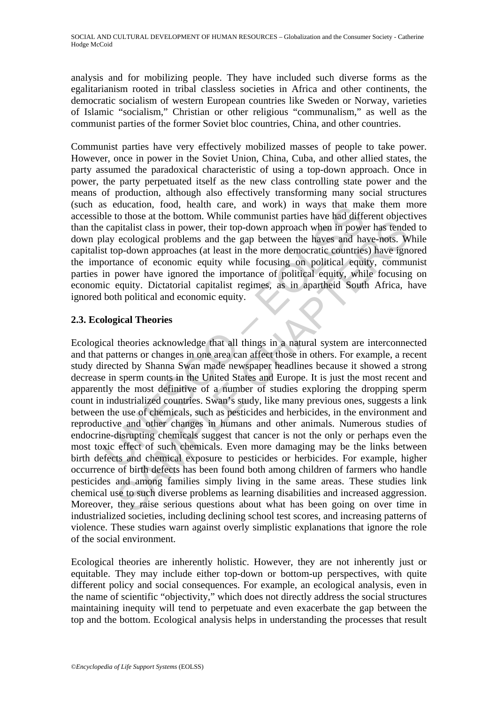analysis and for mobilizing people. They have included such diverse forms as the egalitarianism rooted in tribal classless societies in Africa and other continents, the democratic socialism of western European countries like Sweden or Norway, varieties of Islamic "socialism," Christian or other religious "communalism," as well as the communist parties of the former Soviet bloc countries, China, and other countries.

Communist parties have very effectively mobilized masses of people to take power. However, once in power in the Soviet Union, China, Cuba, and other allied states, the party assumed the paradoxical characteristic of using a top-down approach. Once in power, the party perpetuated itself as the new class controlling state power and the means of production, although also effectively transforming many social structures (such as education, food, health care, and work) in ways that make them more accessible to those at the bottom. While communist parties have had different objectives than the capitalist class in power, their top-down approach when in power has tended to down play ecological problems and the gap between the haves and have-nots. While capitalist top-down approaches (at least in the more democratic countries) have ignored the importance of economic equity while focusing on political equity, communist parties in power have ignored the importance of political equity, while focusing on economic equity. Dictatorial capitalist regimes, as in apartheid South Africa, have ignored both political and economic equity.

## **2.3. Ecological Theories**

Se exucedion, 1000, nearline care, and work) in ways una mail<br>be to those at the bottom. While communist parties have had difference<br>prigitalist class in power, their top-down approach when in power<br>lay ecological problems or another or constant with the bumanning paradon have a may be principal priditist class in power, their top-down approach when in power has tendeed ecological problems and the gap between the haves and have-nots. We righ Ecological theories acknowledge that all things in a natural system are interconnected and that patterns or changes in one area can affect those in others. For example, a recent study directed by Shanna Swan made newspaper headlines because it showed a strong decrease in sperm counts in the United States and Europe. It is just the most recent and apparently the most definitive of a number of studies exploring the dropping sperm count in industrialized countries. Swan's study, like many previous ones, suggests a link between the use of chemicals, such as pesticides and herbicides, in the environment and reproductive and other changes in humans and other animals. Numerous studies of endocrine-disrupting chemicals suggest that cancer is not the only or perhaps even the most toxic effect of such chemicals. Even more damaging may be the links between birth defects and chemical exposure to pesticides or herbicides. For example, higher occurrence of birth defects has been found both among children of farmers who handle pesticides and among families simply living in the same areas. These studies link chemical use to such diverse problems as learning disabilities and increased aggression. Moreover, they raise serious questions about what has been going on over time in industrialized societies, including declining school test scores, and increasing patterns of violence. These studies warn against overly simplistic explanations that ignore the role of the social environment.

Ecological theories are inherently holistic. However, they are not inherently just or equitable. They may include either top-down or bottom-up perspectives, with quite different policy and social consequences. For example, an ecological analysis, even in the name of scientific "objectivity," which does not directly address the social structures maintaining inequity will tend to perpetuate and even exacerbate the gap between the top and the bottom. Ecological analysis helps in understanding the processes that result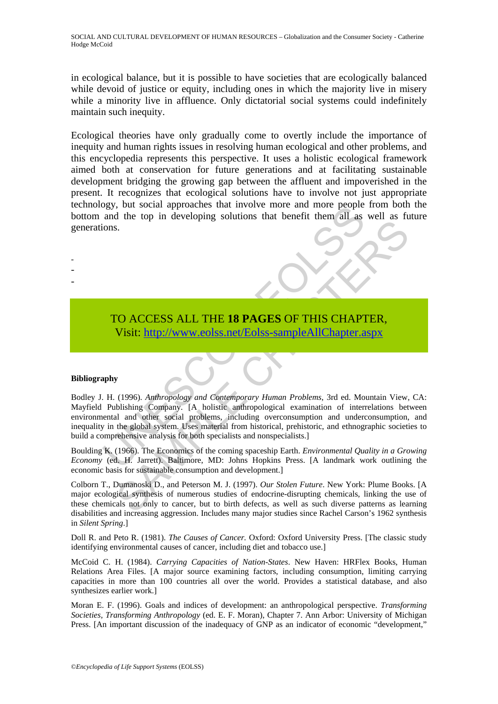in ecological balance, but it is possible to have societies that are ecologically balanced while devoid of justice or equity, including ones in which the majority live in misery while a minority live in affluence. Only dictatorial social systems could indefinitely maintain such inequity.

Ecological theories have only gradually come to overtly include the importance of inequity and human rights issues in resolving human ecological and other problems, and this encyclopedia represents this perspective. It uses a holistic ecological framework aimed both at conservation for future generations and at facilitating sustainable development bridging the growing gap between the affluent and impoverished in the present. It recognizes that ecological solutions have to involve not just appropriate technology, but social approaches that involve more and more people from both the bottom and the top in developing solutions that benefit them all as well as future generations.

> TO ACCESS ALL THE **18 PAGES** OF THIS CHAPTER, Visit: http://www.eolss.net/Eolss-sampleAllChapter.aspx

#### **Bibliography**

- - -

State the top in developing solutions that benefit them all as<br>
and the top in developing solutions that benefit them all as<br>
ons.<br>
TO ACCESS ALL THE 18 PAGES OF THIS CHAPT<br>
Visit: http://www.colss.net/Eolss-sampleAllChapt SAMPLE C[HAP](https://www.eolss.net/ebooklib/sc_cart.aspx?File=E1-11-07-07)TERS Bodley J. H. (1996). *Anthropology and Contemporary Human Problems*, 3rd ed. Mountain View, CA: Mayfield Publishing Company. [A holistic anthropological examination of interrelations between environmental and other social problems, including overconsumption and underconsumption, and inequality in the global system. Uses material from historical, prehistoric, and ethnographic societies to build a comprehensive analysis for both specialists and nonspecialists.]

Boulding K. (1966). The Economics of the coming spaceship Earth. *Environmental Quality in a Growing Economy* (ed. H. Jarrett). Baltimore, MD: Johns Hopkins Press. [A landmark work outlining the economic basis for sustainable consumption and development.]

Colborn T., Dumanoski D., and Peterson M. J. (1997). *Our Stolen Future*. New York: Plume Books. [A major ecological synthesis of numerous studies of endocrine-disrupting chemicals, linking the use of these chemicals not only to cancer, but to birth defects, as well as such diverse patterns as learning disabilities and increasing aggression. Includes many major studies since Rachel Carson's 1962 synthesis in *Silent Spring*.]

Doll R. and Peto R. (1981). *The Causes of Cancer.* Oxford: Oxford University Press. [The classic study identifying environmental causes of cancer, including diet and tobacco use.]

McCoid C. H. (1984). *Carrying Capacities of Nation-States*. New Haven: HRFlex Books, Human Relations Area Files. [A major source examining factors, including consumption, limiting carrying capacities in more than 100 countries all over the world. Provides a statistical database, and also synthesizes earlier work.]

Moran E. F. (1996). Goals and indices of development: an anthropological perspective. *Transforming Societies, Transforming Anthropology* (ed. E. F. Moran), Chapter 7. Ann Arbor: University of Michigan Press. [An important discussion of the inadequacy of GNP as an indicator of economic "development,"